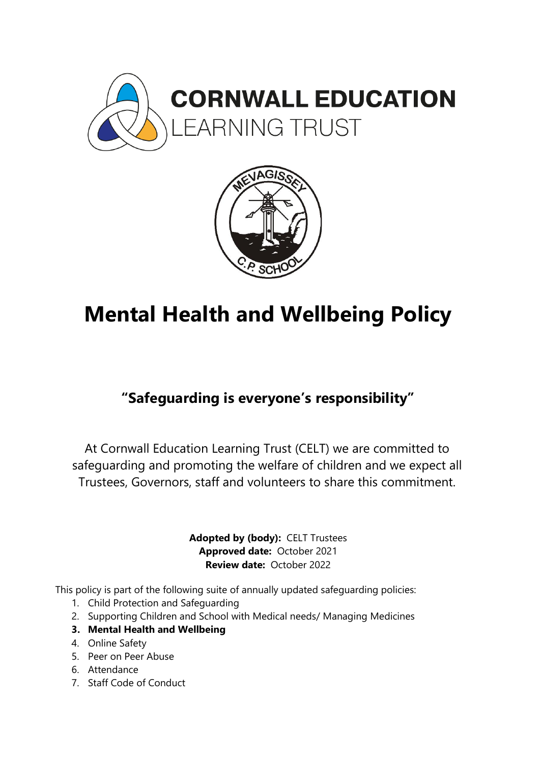



# **Mental Health and Wellbeing Policy**

# **"Safeguarding is everyone's responsibility"**

At Cornwall Education Learning Trust (CELT) we are committed to safeguarding and promoting the welfare of children and we expect all Trustees, Governors, staff and volunteers to share this commitment.

> **Adopted by (body):** CELT Trustees **Approved date:** October 2021 **Review date:** October 2022

This policy is part of the following suite of annually updated safeguarding policies:

- 1. Child Protection and Safeguarding
- 2. Supporting Children and School with Medical needs/ Managing Medicines
- **3. Mental Health and Wellbeing**
- 4. Online Safety
- 5. Peer on Peer Abuse
- 6. Attendance
- 7. Staff Code of Conduct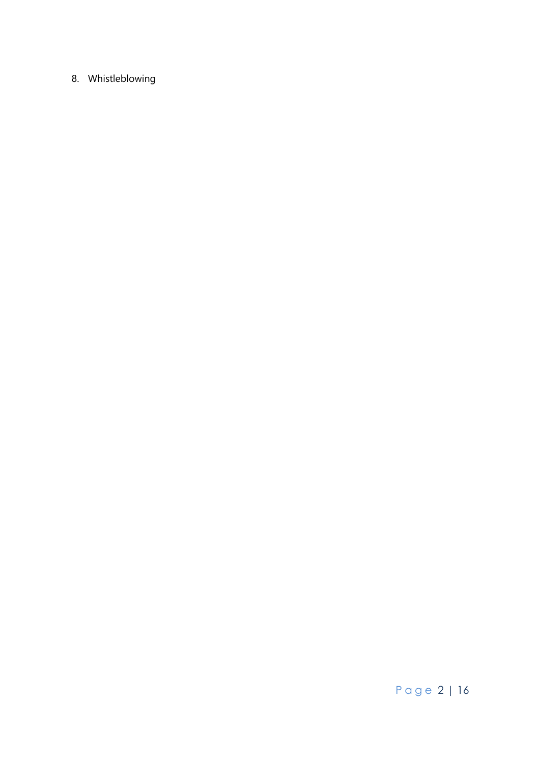# 8. Whistleblowing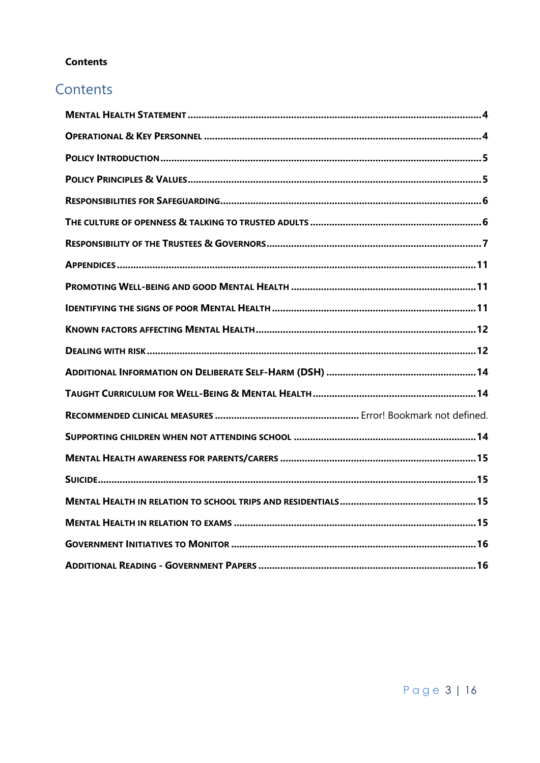# **Contents**

# Contents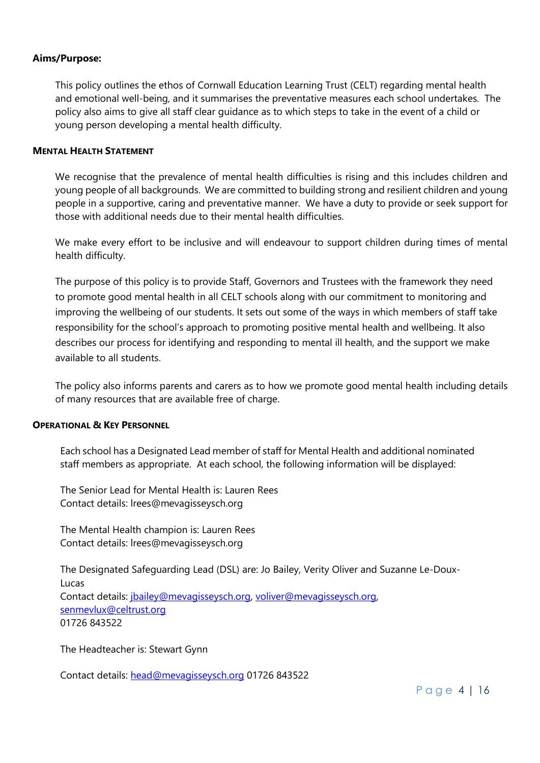#### **Aims/Purpose:**

This policy outlines the ethos of Cornwall Education Learning Trust (CELT) regarding mental health and emotional well-being, and it summarises the preventative measures each school undertakes. The policy also aims to give all staff clear guidance as to which steps to take in the event of a child or young person developing a mental health difficulty.

#### <span id="page-3-0"></span>**MENTAL HEALTH STATEMENT**

We recognise that the prevalence of mental health difficulties is rising and this includes children and young people of all backgrounds. We are committed to building strong and resilient children and young people in a supportive, caring and preventative manner. We have a duty to provide or seek support for those with additional needs due to their mental health difficulties.

We make every effort to be inclusive and will endeavour to support children during times of mental health difficulty.

The purpose of this policy is to provide Staff, Governors and Trustees with the framework they need to promote good mental health in all CELT schools along with our commitment to monitoring and improving the wellbeing of our students. It sets out some of the ways in which members of staff take responsibility for the school's approach to promoting positive mental health and wellbeing. It also describes our process for identifying and responding to mental ill health, and the support we make available to all students.

The policy also informs parents and carers as to how we promote good mental health including details of many resources that are available free of charge.

#### <span id="page-3-1"></span>**OPERATIONAL & KEY PERSONNEL**

Each school has a Designated Lead member of staff for Mental Health and additional nominated staff members as appropriate. At each school, the following information will be displayed:

The Senior Lead for Mental Health is: Lauren Rees Contact details: lrees@mevagisseysch.org

The Mental Health champion is: Lauren Rees Contact details: lrees@mevagisseysch.org

The Designated Safeguarding Lead (DSL) are: Jo Bailey, Verity Oliver and Suzanne Le-Doux-Lucas Contact details: [jbailey@mevagisseysch.org,](mailto:jbailey@mevagisseysch.org) [voliver@mevagisseysch.org,](mailto:voliver@mevagisseysch.org) [senmevlux@celtrust.org](mailto:senmevlux@celtrust.org) 01726 843522

The Headteacher is: Stewart Gynn

Contact details: [head@mevagisseysch.org](mailto:head@mevagisseysch.org) 01726 843522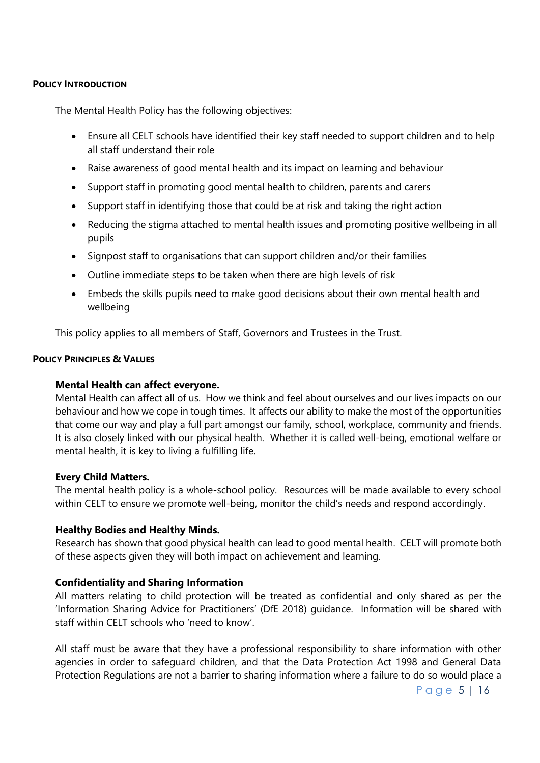#### <span id="page-4-0"></span>**POLICY INTRODUCTION**

The Mental Health Policy has the following objectives:

- Ensure all CELT schools have identified their key staff needed to support children and to help all staff understand their role
- Raise awareness of good mental health and its impact on learning and behaviour
- Support staff in promoting good mental health to children, parents and carers
- Support staff in identifying those that could be at risk and taking the right action
- Reducing the stigma attached to mental health issues and promoting positive wellbeing in all pupils
- Signpost staff to organisations that can support children and/or their families
- Outline immediate steps to be taken when there are high levels of risk
- Embeds the skills pupils need to make good decisions about their own mental health and wellbeing

This policy applies to all members of Staff, Governors and Trustees in the Trust.

#### <span id="page-4-1"></span>**POLICY PRINCIPLES & VALUES**

#### **Mental Health can affect everyone.**

Mental Health can affect all of us. How we think and feel about ourselves and our lives impacts on our behaviour and how we cope in tough times. It affects our ability to make the most of the opportunities that come our way and play a full part amongst our family, school, workplace, community and friends. It is also closely linked with our physical health. Whether it is called well-being, emotional welfare or mental health, it is key to living a fulfilling life.

#### **Every Child Matters.**

The mental health policy is a whole-school policy. Resources will be made available to every school within CELT to ensure we promote well-being, monitor the child's needs and respond accordingly.

#### **Healthy Bodies and Healthy Minds.**

Research has shown that good physical health can lead to good mental health. CELT will promote both of these aspects given they will both impact on achievement and learning.

#### **Confidentiality and Sharing Information**

All matters relating to child protection will be treated as confidential and only shared as per the 'Information Sharing Advice for Practitioners' (DfE 2018) guidance. Information will be shared with staff within CELT schools who 'need to know'.

All staff must be aware that they have a professional responsibility to share information with other agencies in order to safeguard children, and that the Data Protection Act 1998 and General Data Protection Regulations are not a barrier to sharing information where a failure to do so would place a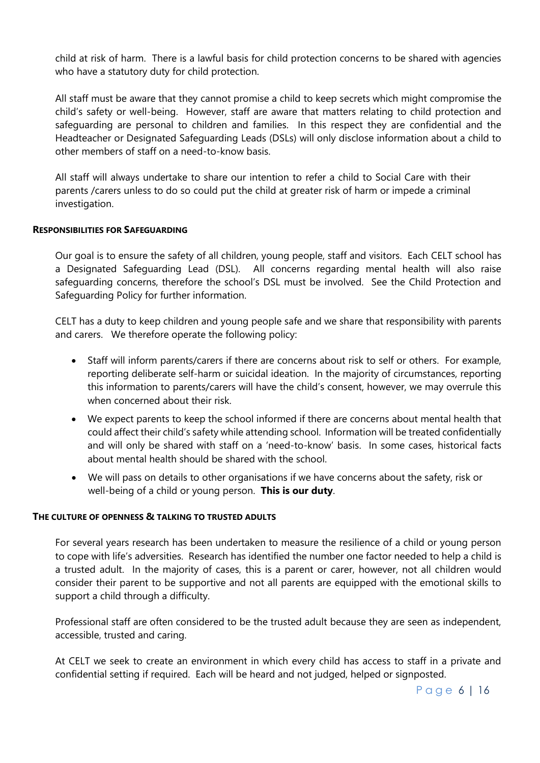child at risk of harm. There is a lawful basis for child protection concerns to be shared with agencies who have a statutory duty for child protection.

All staff must be aware that they cannot promise a child to keep secrets which might compromise the child's safety or well-being. However, staff are aware that matters relating to child protection and safeguarding are personal to children and families. In this respect they are confidential and the Headteacher or Designated Safeguarding Leads (DSLs) will only disclose information about a child to other members of staff on a need-to-know basis.

All staff will always undertake to share our intention to refer a child to Social Care with their parents /carers unless to do so could put the child at greater risk of harm or impede a criminal investigation.

#### <span id="page-5-0"></span>**RESPONSIBILITIES FOR SAFEGUARDING**

Our goal is to ensure the safety of all children, young people, staff and visitors. Each CELT school has a Designated Safeguarding Lead (DSL). All concerns regarding mental health will also raise safeguarding concerns, therefore the school's DSL must be involved. See the Child Protection and Safeguarding Policy for further information.

CELT has a duty to keep children and young people safe and we share that responsibility with parents and carers. We therefore operate the following policy:

- Staff will inform parents/carers if there are concerns about risk to self or others. For example, reporting deliberate self-harm or suicidal ideation. In the majority of circumstances, reporting this information to parents/carers will have the child's consent, however, we may overrule this when concerned about their risk.
- We expect parents to keep the school informed if there are concerns about mental health that could affect their child's safety while attending school. Information will be treated confidentially and will only be shared with staff on a 'need-to-know' basis. In some cases, historical facts about mental health should be shared with the school.
- We will pass on details to other organisations if we have concerns about the safety, risk or well-being of a child or young person. **This is our duty**.

#### <span id="page-5-1"></span>**THE CULTURE OF OPENNESS & TALKING TO TRUSTED ADULTS**

For several years research has been undertaken to measure the resilience of a child or young person to cope with life's adversities. Research has identified the number one factor needed to help a child is a trusted adult. In the majority of cases, this is a parent or carer, however, not all children would consider their parent to be supportive and not all parents are equipped with the emotional skills to support a child through a difficulty.

Professional staff are often considered to be the trusted adult because they are seen as independent, accessible, trusted and caring.

At CELT we seek to create an environment in which every child has access to staff in a private and confidential setting if required. Each will be heard and not judged, helped or signposted.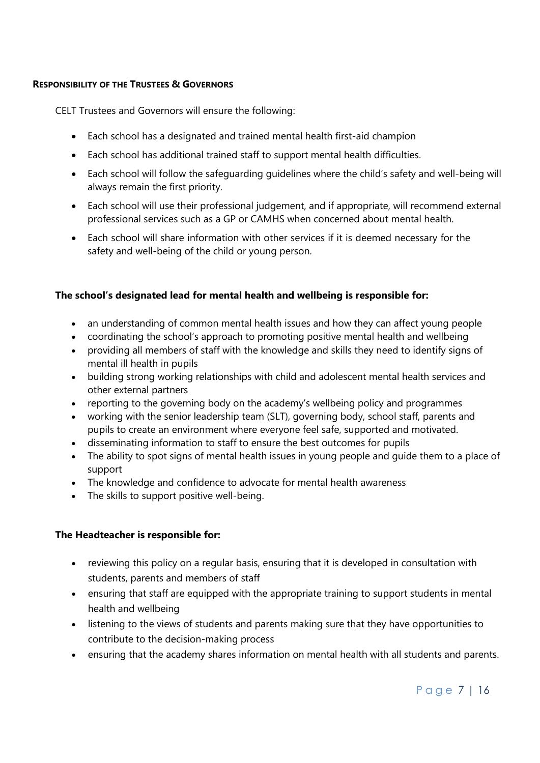#### <span id="page-6-0"></span>**RESPONSIBILITY OF THE TRUSTEES & GOVERNORS**

CELT Trustees and Governors will ensure the following:

- Each school has a designated and trained mental health first-aid champion
- Each school has additional trained staff to support mental health difficulties.
- Each school will follow the safeguarding guidelines where the child's safety and well-being will always remain the first priority.
- Each school will use their professional judgement, and if appropriate, will recommend external professional services such as a GP or CAMHS when concerned about mental health.
- Each school will share information with other services if it is deemed necessary for the safety and well-being of the child or young person.

#### **The school's designated lead for mental health and wellbeing is responsible for:**

- an understanding of common mental health issues and how they can affect young people
- coordinating the school's approach to promoting positive mental health and wellbeing
- providing all members of staff with the knowledge and skills they need to identify signs of mental ill health in pupils
- building strong working relationships with child and adolescent mental health services and other external partners
- reporting to the governing body on the academy's wellbeing policy and programmes
- working with the senior leadership team (SLT), governing body, school staff, parents and pupils to create an environment where everyone feel safe, supported and motivated.
- disseminating information to staff to ensure the best outcomes for pupils
- The ability to spot signs of mental health issues in young people and quide them to a place of support
- The knowledge and confidence to advocate for mental health awareness
- The skills to support positive well-being.

#### **The Headteacher is responsible for:**

- reviewing this policy on a regular basis, ensuring that it is developed in consultation with students, parents and members of staff
- ensuring that staff are equipped with the appropriate training to support students in mental health and wellbeing
- listening to the views of students and parents making sure that they have opportunities to contribute to the decision-making process
- ensuring that the academy shares information on mental health with all students and parents.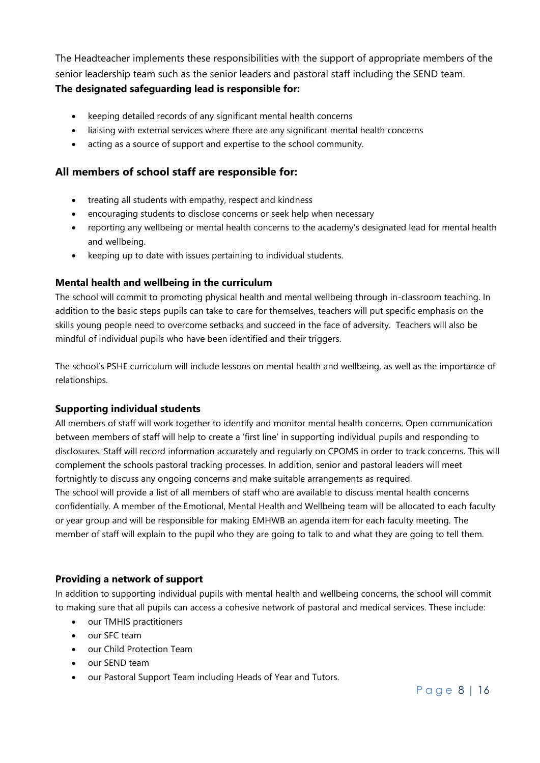The Headteacher implements these responsibilities with the support of appropriate members of the senior leadership team such as the senior leaders and pastoral staff including the SEND team. **The designated safeguarding lead is responsible for:**

# keeping detailed records of any significant mental health concerns

- liaising with external services where there are any significant mental health concerns
- acting as a source of support and expertise to the school community.

### **All members of school staff are responsible for:**

- treating all students with empathy, respect and kindness
- encouraging students to disclose concerns or seek help when necessary
- reporting any wellbeing or mental health concerns to the academy's designated lead for mental health and wellbeing.
- keeping up to date with issues pertaining to individual students.

#### **Mental health and wellbeing in the curriculum**

The school will commit to promoting physical health and mental wellbeing through in-classroom teaching. In addition to the basic steps pupils can take to care for themselves, teachers will put specific emphasis on the skills young people need to overcome setbacks and succeed in the face of adversity. Teachers will also be mindful of individual pupils who have been identified and their triggers.

The school's PSHE curriculum will include lessons on mental health and wellbeing, as well as the importance of relationships.

#### **Supporting individual students**

All members of staff will work together to identify and monitor mental health concerns. Open communication between members of staff will help to create a 'first line' in supporting individual pupils and responding to disclosures. Staff will record information accurately and regularly on CPOMS in order to track concerns. This will complement the schools pastoral tracking processes. In addition, senior and pastoral leaders will meet fortnightly to discuss any ongoing concerns and make suitable arrangements as required. The school will provide a list of all members of staff who are available to discuss mental health concerns confidentially. A member of the Emotional, Mental Health and Wellbeing team will be allocated to each faculty or year group and will be responsible for making EMHWB an agenda item for each faculty meeting. The

member of staff will explain to the pupil who they are going to talk to and what they are going to tell them.

#### **Providing a network of support**

In addition to supporting individual pupils with mental health and wellbeing concerns, the school will commit to making sure that all pupils can access a cohesive network of pastoral and medical services. These include:

- our TMHIS practitioners
- our SFC team
- our Child Protection Team
- our SEND team
- our Pastoral Support Team including Heads of Year and Tutors.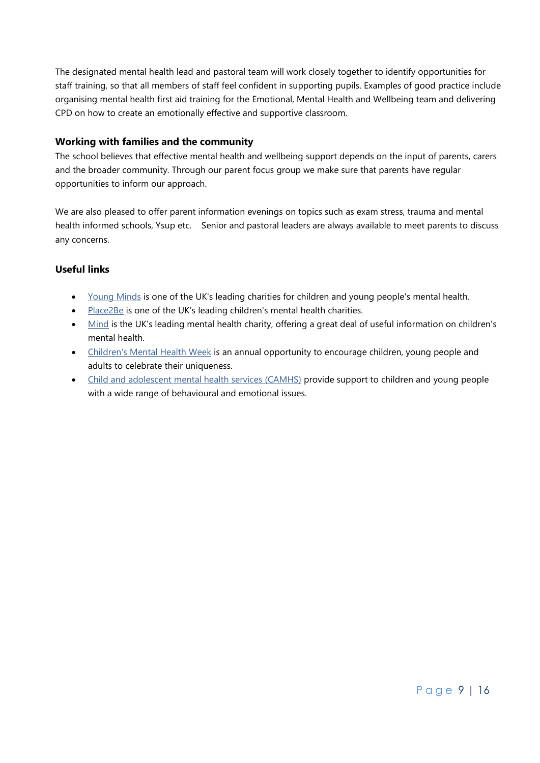The designated mental health lead and pastoral team will work closely together to identify opportunities for staff training, so that all members of staff feel confident in supporting pupils. Examples of good practice include organising mental health first aid training for the Emotional, Mental Health and Wellbeing team and delivering CPD on how to create an emotionally effective and supportive classroom.

#### **Working with families and the community**

The school believes that effective mental health and wellbeing support depends on the input of parents, carers and the broader community. Through our parent focus group we make sure that parents have regular opportunities to inform our approach.

We are also pleased to offer parent information evenings on topics such as exam stress, trauma and mental health informed schools, Ysup etc. Senior and pastoral leaders are always available to meet parents to discuss any concerns.

### **Useful links**

- [Young Minds](http://www.youngminds.org.uk/) is one of the UK's leading charities for children and young people's mental health.
- [Place2Be](http://www.place2be.org.uk/) is one of the UK's leading children's mental health charities.
- [Mind](http://www.mind.org.uk/) is the UK's leading mental health charity, offering a great deal of useful information on children's mental health.
- [Children's Mental Health Week](http://www.childrensmentalhealthweek.org.uk/) is an annual opportunity to encourage children, young people and adults to celebrate their uniqueness.
- [Child and adolescent mental health services](http://www.nhs.uk/NHSEngland/AboutNHSservices/mental-health-services-explained/Pages/about-childrens-mental-health-services.aspx) (CAMHS) provide support to children and young people with a wide range of behavioural and emotional issues.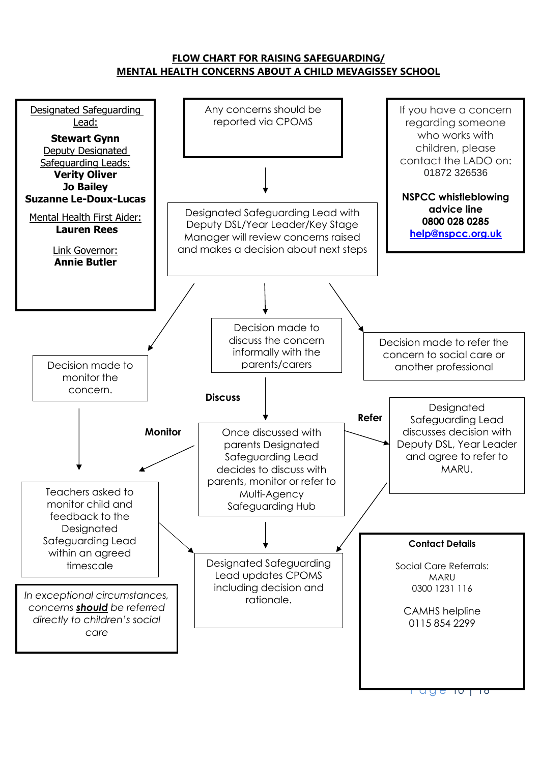### **FLOW CHART FOR RAISING SAFEGUARDING/ MENTAL HEALTH CONCERNS ABOUT A CHILD MEVAGISSEY SCHOOL**

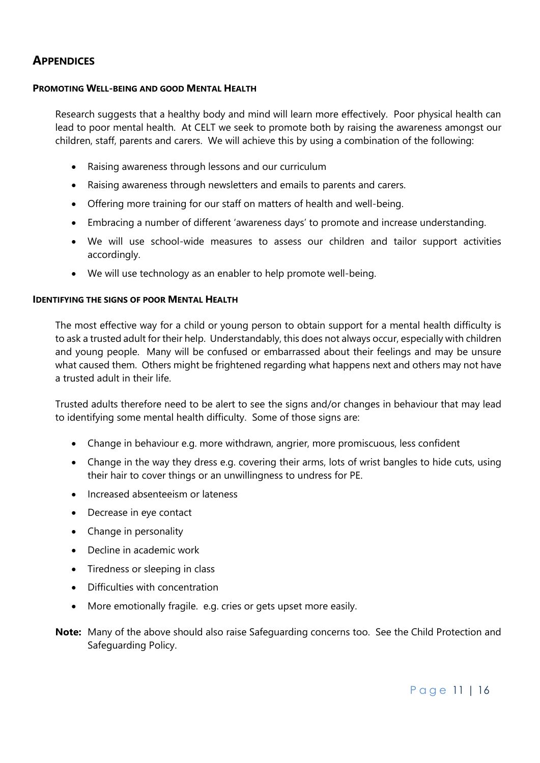# <span id="page-10-0"></span>**APPENDICES**

#### <span id="page-10-1"></span>**PROMOTING WELL-BEING AND GOOD MENTAL HEALTH**

Research suggests that a healthy body and mind will learn more effectively. Poor physical health can lead to poor mental health. At CELT we seek to promote both by raising the awareness amongst our children, staff, parents and carers. We will achieve this by using a combination of the following:

- Raising awareness through lessons and our curriculum
- Raising awareness through newsletters and emails to parents and carers.
- Offering more training for our staff on matters of health and well-being.
- Embracing a number of different 'awareness days' to promote and increase understanding.
- We will use school-wide measures to assess our children and tailor support activities accordingly.
- We will use technology as an enabler to help promote well-being.

#### <span id="page-10-2"></span>**IDENTIFYING THE SIGNS OF POOR MENTAL HEALTH**

The most effective way for a child or young person to obtain support for a mental health difficulty is to ask a trusted adult for their help. Understandably, this does not always occur, especially with children and young people. Many will be confused or embarrassed about their feelings and may be unsure what caused them. Others might be frightened regarding what happens next and others may not have a trusted adult in their life.

Trusted adults therefore need to be alert to see the signs and/or changes in behaviour that may lead to identifying some mental health difficulty. Some of those signs are:

- Change in behaviour e.g. more withdrawn, angrier, more promiscuous, less confident
- Change in the way they dress e.g. covering their arms, lots of wrist bangles to hide cuts, using their hair to cover things or an unwillingness to undress for PE.
- Increased absenteeism or lateness
- Decrease in eye contact
- Change in personality
- Decline in academic work
- Tiredness or sleeping in class
- Difficulties with concentration
- More emotionally fragile. e.g. cries or gets upset more easily.
- **Note:** Many of the above should also raise Safeguarding concerns too. See the Child Protection and Safeguarding Policy.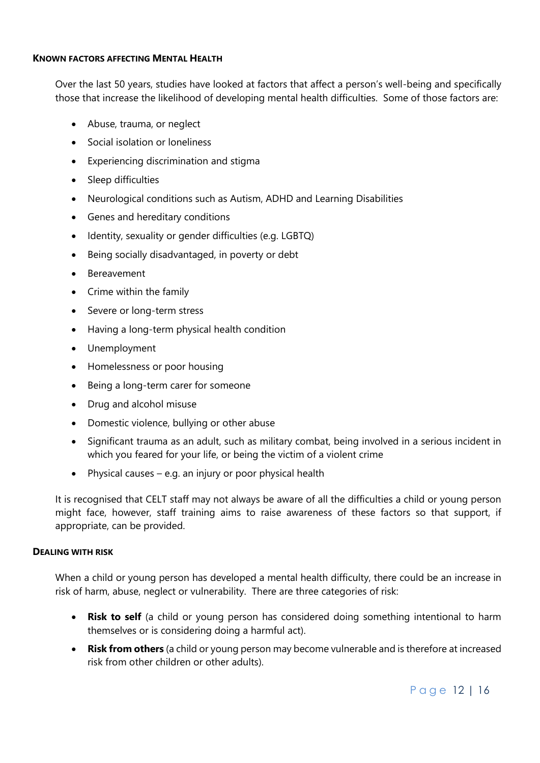#### <span id="page-11-0"></span>**KNOWN FACTORS AFFECTING MENTAL HEALTH**

Over the last 50 years, studies have looked at factors that affect a person's well-being and specifically those that increase the likelihood of developing mental health difficulties. Some of those factors are:

- Abuse, trauma, or neglect
- Social isolation or loneliness
- Experiencing discrimination and stigma
- Sleep difficulties
- Neurological conditions such as Autism, ADHD and Learning Disabilities
- Genes and hereditary conditions
- Identity, sexuality or gender difficulties (e.g. LGBTQ)
- Being socially disadvantaged, in poverty or debt
- Bereavement
- Crime within the family
- Severe or long-term stress
- Having a long-term physical health condition
- Unemployment
- Homelessness or poor housing
- Being a long-term carer for someone
- Drug and alcohol misuse
- Domestic violence, bullying or other abuse
- Significant trauma as an adult, such as military combat, being involved in a serious incident in which you feared for your life, or being the victim of a violent crime
- Physical causes  $-$  e.g. an injury or poor physical health

It is recognised that CELT staff may not always be aware of all the difficulties a child or young person might face, however, staff training aims to raise awareness of these factors so that support, if appropriate, can be provided.

#### <span id="page-11-1"></span>**DEALING WITH RISK**

When a child or young person has developed a mental health difficulty, there could be an increase in risk of harm, abuse, neglect or vulnerability. There are three categories of risk:

- **Risk to self** (a child or young person has considered doing something intentional to harm themselves or is considering doing a harmful act).
- **Risk from others** (a child or young person may become vulnerable and is therefore at increased risk from other children or other adults).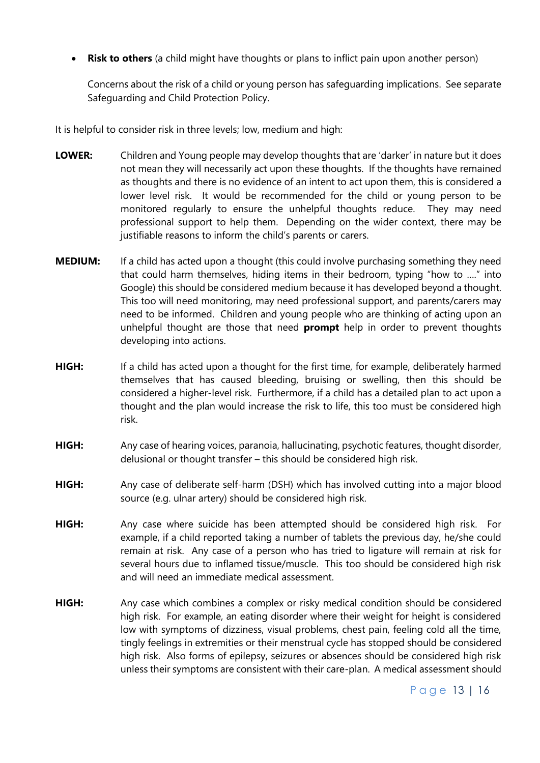**Risk to others** (a child might have thoughts or plans to inflict pain upon another person)

Concerns about the risk of a child or young person has safeguarding implications. See separate Safeguarding and Child Protection Policy.

It is helpful to consider risk in three levels; low, medium and high:

- **LOWER:** Children and Young people may develop thoughts that are 'darker' in nature but it does not mean they will necessarily act upon these thoughts. If the thoughts have remained as thoughts and there is no evidence of an intent to act upon them, this is considered a lower level risk. It would be recommended for the child or young person to be monitored regularly to ensure the unhelpful thoughts reduce. They may need professional support to help them. Depending on the wider context, there may be justifiable reasons to inform the child's parents or carers.
- **MEDIUM:** If a child has acted upon a thought (this could involve purchasing something they need that could harm themselves, hiding items in their bedroom, typing "how to …." into Google) this should be considered medium because it has developed beyond a thought. This too will need monitoring, may need professional support, and parents/carers may need to be informed. Children and young people who are thinking of acting upon an unhelpful thought are those that need **prompt** help in order to prevent thoughts developing into actions.
- **HIGH:** If a child has acted upon a thought for the first time, for example, deliberately harmed themselves that has caused bleeding, bruising or swelling, then this should be considered a higher-level risk. Furthermore, if a child has a detailed plan to act upon a thought and the plan would increase the risk to life, this too must be considered high risk.
- **HIGH:** Any case of hearing voices, paranoia, hallucinating, psychotic features, thought disorder, delusional or thought transfer – this should be considered high risk.
- **HIGH:** Any case of deliberate self-harm (DSH) which has involved cutting into a major blood source (e.g. ulnar artery) should be considered high risk.
- **HIGH:** Any case where suicide has been attempted should be considered high risk. For example, if a child reported taking a number of tablets the previous day, he/she could remain at risk. Any case of a person who has tried to ligature will remain at risk for several hours due to inflamed tissue/muscle. This too should be considered high risk and will need an immediate medical assessment.
- **HIGH:** Any case which combines a complex or risky medical condition should be considered high risk. For example, an eating disorder where their weight for height is considered low with symptoms of dizziness, visual problems, chest pain, feeling cold all the time, tingly feelings in extremities or their menstrual cycle has stopped should be considered high risk. Also forms of epilepsy, seizures or absences should be considered high risk unless their symptoms are consistent with their care-plan. A medical assessment should

## Page 13 | 16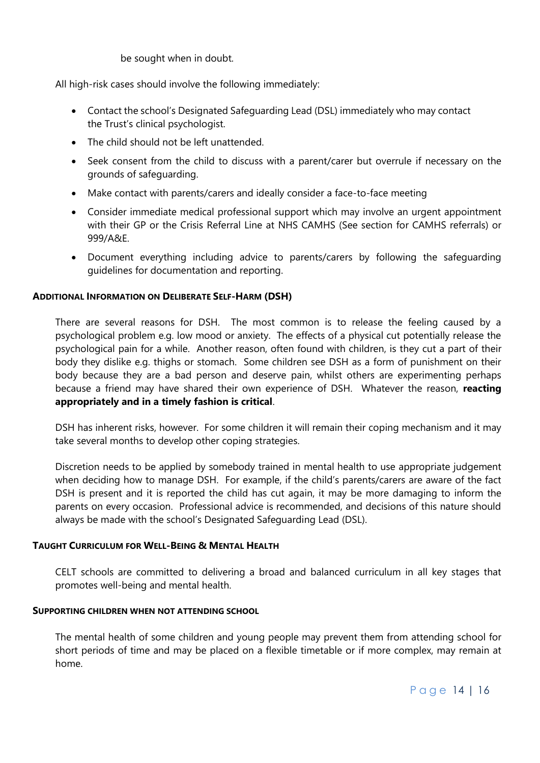be sought when in doubt.

All high-risk cases should involve the following immediately:

- Contact the school's Designated Safeguarding Lead (DSL) immediately who may contact the Trust's clinical psychologist.
- The child should not be left unattended.
- Seek consent from the child to discuss with a parent/carer but overrule if necessary on the grounds of safeguarding.
- Make contact with parents/carers and ideally consider a face-to-face meeting
- Consider immediate medical professional support which may involve an urgent appointment with their GP or the Crisis Referral Line at NHS CAMHS (See section for CAMHS referrals) or 999/A&E.
- Document everything including advice to parents/carers by following the safeguarding guidelines for documentation and reporting.

### <span id="page-13-0"></span>**ADDITIONAL INFORMATION ON DELIBERATE SELF-HARM (DSH)**

There are several reasons for DSH. The most common is to release the feeling caused by a psychological problem e.g. low mood or anxiety. The effects of a physical cut potentially release the psychological pain for a while. Another reason, often found with children, is they cut a part of their body they dislike e.g. thighs or stomach. Some children see DSH as a form of punishment on their body because they are a bad person and deserve pain, whilst others are experimenting perhaps because a friend may have shared their own experience of DSH. Whatever the reason, **reacting appropriately and in a timely fashion is critical**.

DSH has inherent risks, however. For some children it will remain their coping mechanism and it may take several months to develop other coping strategies.

Discretion needs to be applied by somebody trained in mental health to use appropriate judgement when deciding how to manage DSH. For example, if the child's parents/carers are aware of the fact DSH is present and it is reported the child has cut again, it may be more damaging to inform the parents on every occasion. Professional advice is recommended, and decisions of this nature should always be made with the school's Designated Safeguarding Lead (DSL).

#### <span id="page-13-1"></span>**TAUGHT CURRICULUM FOR WELL-BEING & MENTAL HEALTH**

CELT schools are committed to delivering a broad and balanced curriculum in all key stages that promotes well-being and mental health.

#### <span id="page-13-2"></span>**SUPPORTING CHILDREN WHEN NOT ATTENDING SCHOOL**

The mental health of some children and young people may prevent them from attending school for short periods of time and may be placed on a flexible timetable or if more complex, may remain at home.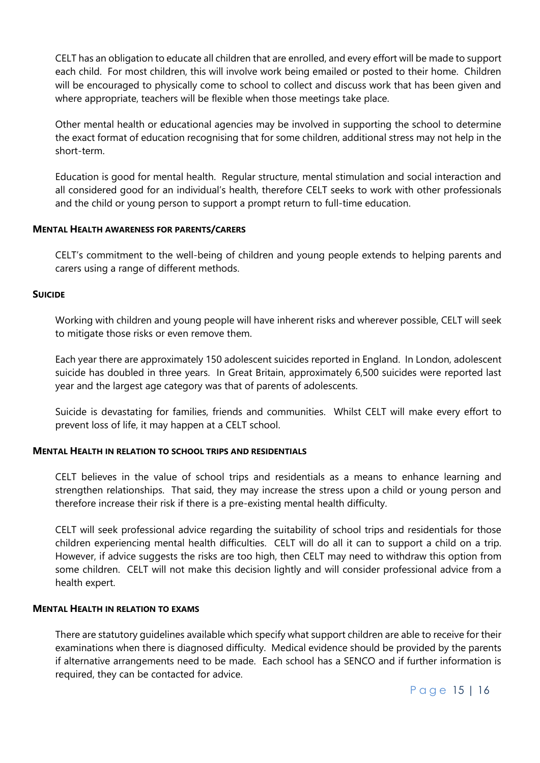CELT has an obligation to educate all children that are enrolled, and every effort will be made to support each child. For most children, this will involve work being emailed or posted to their home. Children will be encouraged to physically come to school to collect and discuss work that has been given and where appropriate, teachers will be flexible when those meetings take place.

Other mental health or educational agencies may be involved in supporting the school to determine the exact format of education recognising that for some children, additional stress may not help in the short-term.

Education is good for mental health. Regular structure, mental stimulation and social interaction and all considered good for an individual's health, therefore CELT seeks to work with other professionals and the child or young person to support a prompt return to full-time education.

#### <span id="page-14-0"></span>**MENTAL HEALTH AWARENESS FOR PARENTS/CARERS**

CELT's commitment to the well-being of children and young people extends to helping parents and carers using a range of different methods.

#### <span id="page-14-1"></span>**SUICIDE**

Working with children and young people will have inherent risks and wherever possible, CELT will seek to mitigate those risks or even remove them.

Each year there are approximately 150 adolescent suicides reported in England. In London, adolescent suicide has doubled in three years. In Great Britain, approximately 6,500 suicides were reported last year and the largest age category was that of parents of adolescents.

Suicide is devastating for families, friends and communities. Whilst CELT will make every effort to prevent loss of life, it may happen at a CELT school.

#### <span id="page-14-2"></span>**MENTAL HEALTH IN RELATION TO SCHOOL TRIPS AND RESIDENTIALS**

CELT believes in the value of school trips and residentials as a means to enhance learning and strengthen relationships. That said, they may increase the stress upon a child or young person and therefore increase their risk if there is a pre-existing mental health difficulty.

CELT will seek professional advice regarding the suitability of school trips and residentials for those children experiencing mental health difficulties. CELT will do all it can to support a child on a trip. However, if advice suggests the risks are too high, then CELT may need to withdraw this option from some children. CELT will not make this decision lightly and will consider professional advice from a health expert.

#### <span id="page-14-3"></span>**MENTAL HEALTH IN RELATION TO EXAMS**

There are statutory guidelines available which specify what support children are able to receive for their examinations when there is diagnosed difficulty. Medical evidence should be provided by the parents if alternative arrangements need to be made. Each school has a SENCO and if further information is required, they can be contacted for advice.